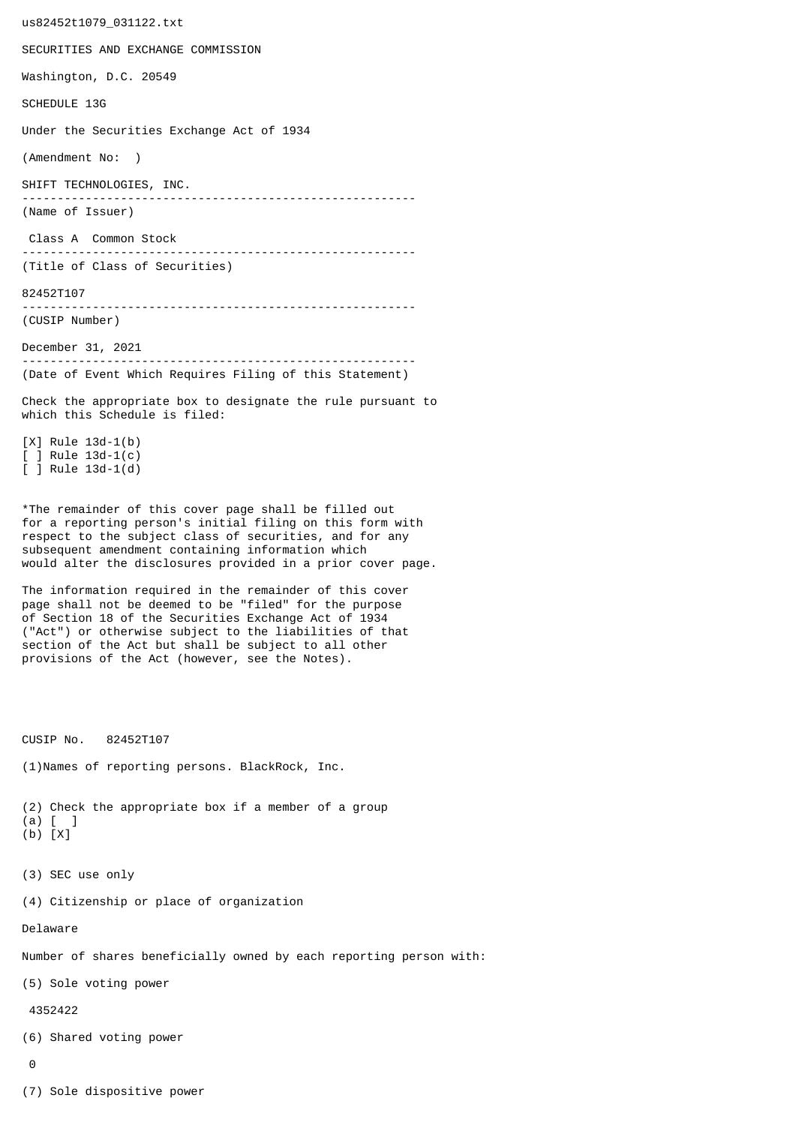us82452t1079\_031122.txt SECURITIES AND EXCHANGE COMMISSION Washington, D.C. 20549 SCHEDULE 13G Under the Securities Exchange Act of 1934 (Amendment No: ) SHIFT TECHNOLOGIES, INC. -------------------------------------------------------- (Name of Issuer) Class A Common Stock -------------------------------------------------------- (Title of Class of Securities) 82452T107 -------------------------------------------------------- (CUSIP Number) December 31, 2021 -------------------------------------------------------- (Date of Event Which Requires Filing of this Statement) Check the appropriate box to designate the rule pursuant to which this Schedule is filed: [X] Rule 13d-1(b) [ ] Rule 13d-1(c) [ ] Rule 13d-1(d) \*The remainder of this cover page shall be filled out for a reporting person's initial filing on this form with respect to the subject class of securities, and for any subsequent amendment containing information which would alter the disclosures provided in a prior cover page. The information required in the remainder of this cover page shall not be deemed to be "filed" for the purpose of Section 18 of the Securities Exchange Act of 1934 ("Act") or otherwise subject to the liabilities of that section of the Act but shall be subject to all other provisions of the Act (however, see the Notes). CUSIP No. 82452T107 (1)Names of reporting persons. BlackRock, Inc. (2) Check the appropriate box if a member of a group (a) [ ] (b) [X] (3) SEC use only (4) Citizenship or place of organization Delaware Number of shares beneficially owned by each reporting person with: (5) Sole voting power 4352422 (6) Shared voting power  $\Omega$ 

(7) Sole dispositive power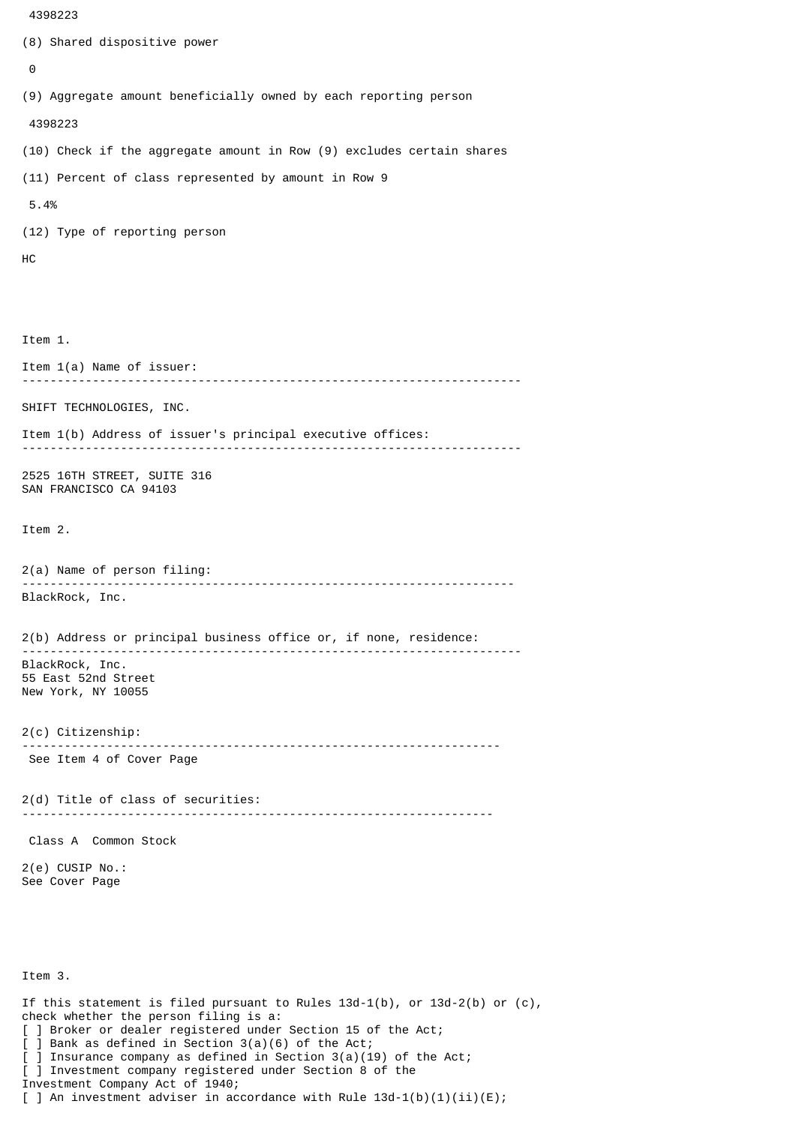```
 4398223
```

```
(8) Shared dispositive power
 \boldsymbol{\Theta}(9) Aggregate amount beneficially owned by each reporting person
  4398223
(10) Check if the aggregate amount in Row (9) excludes certain shares
(11) Percent of class represented by amount in Row 9
 5.4%
(12) Type of reporting person
HC
Item 1.
Item 1(a) Name of issuer:
                            -----------------------------------------------------------------------
SHIFT TECHNOLOGIES, INC.
Item 1(b) Address of issuer's principal executive offices:
 -----------------------------------------------------------------------
2525 16TH STREET, SUITE 316
SAN FRANCISCO CA 94103
Item 2.
2(a) Name of person filing:
               ----------------------------------------------------------------------
BlackRock, Inc.
2(b) Address or principal business office or, if none, residence:
 -----------------------------------------------------------------------
BlackRock, Inc.
55 East 52nd Street
New York, NY 10055
2(c) Citizenship:
                            --------------------------------------------------------------------
 See Item 4 of Cover Page
2(d) Title of class of securities:
                                      -------------------------------------------------------------------
 Class A Common Stock
2(e) CUSIP No.:
See Cover Page
Item 3.
If this statement is filed pursuant to Rules 13d-1(b), or 13d-2(b) or (c),
check whether the person filing is a:
[ ] Broker or dealer registered under Section 15 of the Act;
[ ] Bank as defined in Section 3(a)(6) of the Act;
  ] Insurance company as defined in Section 3(a)(19) of the Act;
[ ] Investment company registered under Section 8 of the
Investment Company Act of 1940;
[ ] An investment adviser in accordance with Rule 13d-1(b)(1)(ii)(E);
```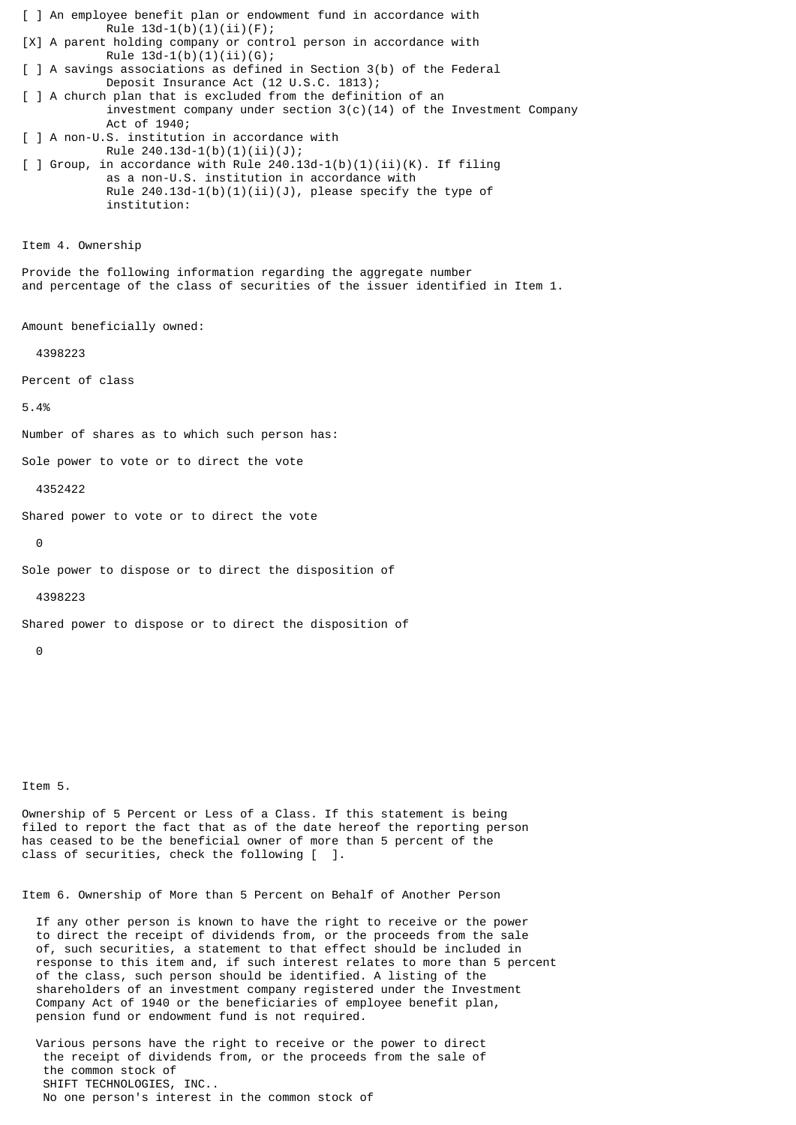[ ] An employee benefit plan or endowment fund in accordance with Rule  $13d-1(b)(1)(ii)(F);$ [X] A parent holding company or control person in accordance with Rule  $13d-1(b)(1)(ii)(G);$ [ ] A savings associations as defined in Section 3(b) of the Federal Deposit Insurance Act (12 U.S.C. 1813); [ ] A church plan that is excluded from the definition of an investment company under section  $3(c)(14)$  of the Investment Company Act of 1940; [ ] A non-U.S. institution in accordance with Rule  $240.13d-1(b)(1)(ii)(J);$  $\lceil$  ] Group, in accordance with Rule 240.13d-1(b)(1)(ii)(K). If filing as a non-U.S. institution in accordance with Rule  $240.13d-1(b)(1)(ii)(J)$ , please specify the type of institution: Item 4. Ownership Provide the following information regarding the aggregate number and percentage of the class of securities of the issuer identified in Item 1. Amount beneficially owned: 4398223 Percent of class 5.4% Number of shares as to which such person has: Sole power to vote or to direct the vote 4352422 Shared power to vote or to direct the vote  $\Theta$ Sole power to dispose or to direct the disposition of 4398223 Shared power to dispose or to direct the disposition of  $\Omega$ 

Item 5.

Ownership of 5 Percent or Less of a Class. If this statement is being filed to report the fact that as of the date hereof the reporting person has ceased to be the beneficial owner of more than 5 percent of the class of securities, check the following [ ].

Item 6. Ownership of More than 5 Percent on Behalf of Another Person

 If any other person is known to have the right to receive or the power to direct the receipt of dividends from, or the proceeds from the sale of, such securities, a statement to that effect should be included in response to this item and, if such interest relates to more than 5 percent of the class, such person should be identified. A listing of the shareholders of an investment company registered under the Investment Company Act of 1940 or the beneficiaries of employee benefit plan, pension fund or endowment fund is not required.

 Various persons have the right to receive or the power to direct the receipt of dividends from, or the proceeds from the sale of the common stock of SHIFT TECHNOLOGIES, INC.. No one person's interest in the common stock of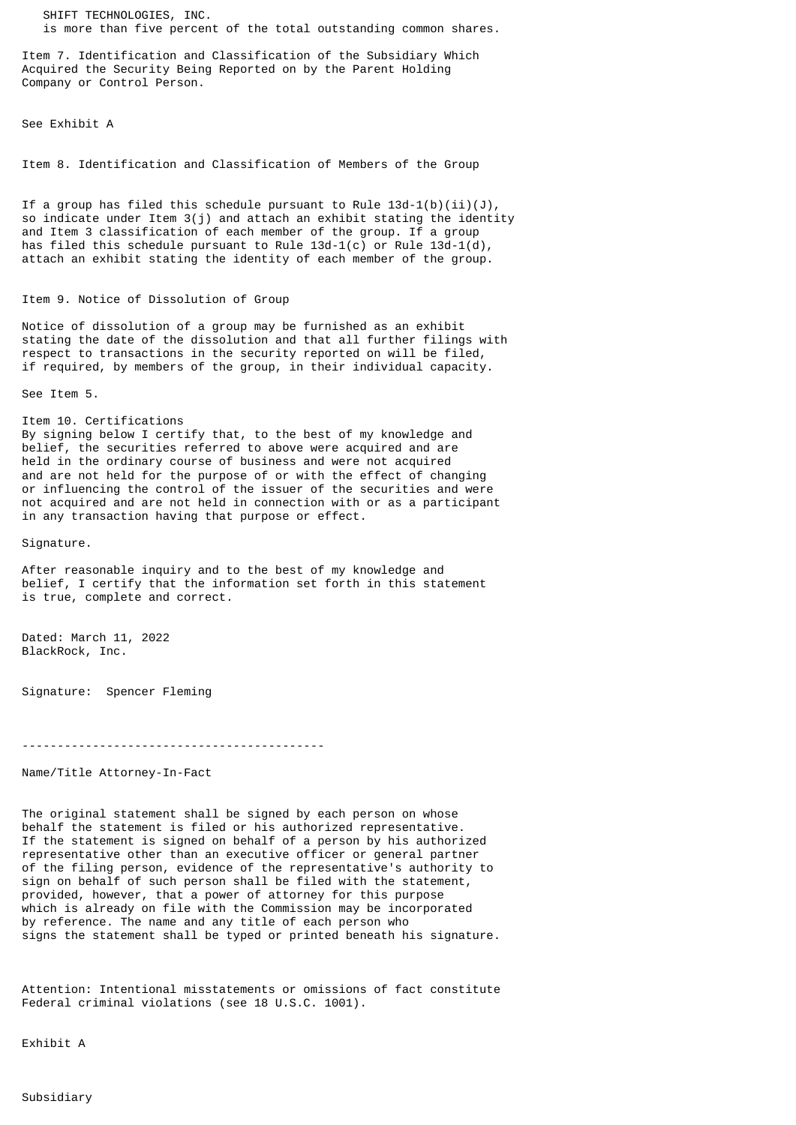SHIFT TECHNOLOGIES, INC. is more than five percent of the total outstanding common shares.

Item 7. Identification and Classification of the Subsidiary Which Acquired the Security Being Reported on by the Parent Holding Company or Control Person.

See Exhibit A

Item 8. Identification and Classification of Members of the Group

If a group has filed this schedule pursuant to Rule  $13d-1(b)(ii)(J)$ , so indicate under Item 3(j) and attach an exhibit stating the identity and Item 3 classification of each member of the group. If a group has filed this schedule pursuant to Rule  $13d-1(c)$  or Rule  $13d-1(d)$ , attach an exhibit stating the identity of each member of the group.

## Item 9. Notice of Dissolution of Group

Notice of dissolution of a group may be furnished as an exhibit stating the date of the dissolution and that all further filings with respect to transactions in the security reported on will be filed, if required, by members of the group, in their individual capacity.

See Item 5.

Item 10. Certifications By signing below I certify that, to the best of my knowledge and belief, the securities referred to above were acquired and are held in the ordinary course of business and were not acquired and are not held for the purpose of or with the effect of changing or influencing the control of the issuer of the securities and were not acquired and are not held in connection with or as a participant

in any transaction having that purpose or effect.

Signature.

After reasonable inquiry and to the best of my knowledge and belief, I certify that the information set forth in this statement is true, complete and correct.

Dated: March 11, 2022 BlackRock, Inc.

Signature: Spencer Fleming

-------------------------------------------

Name/Title Attorney-In-Fact

The original statement shall be signed by each person on whose behalf the statement is filed or his authorized representative. If the statement is signed on behalf of a person by his authorized representative other than an executive officer or general partner of the filing person, evidence of the representative's authority to sign on behalf of such person shall be filed with the statement, provided, however, that a power of attorney for this purpose which is already on file with the Commission may be incorporated by reference. The name and any title of each person who signs the statement shall be typed or printed beneath his signature.

Attention: Intentional misstatements or omissions of fact constitute Federal criminal violations (see 18 U.S.C. 1001).

Exhibit A